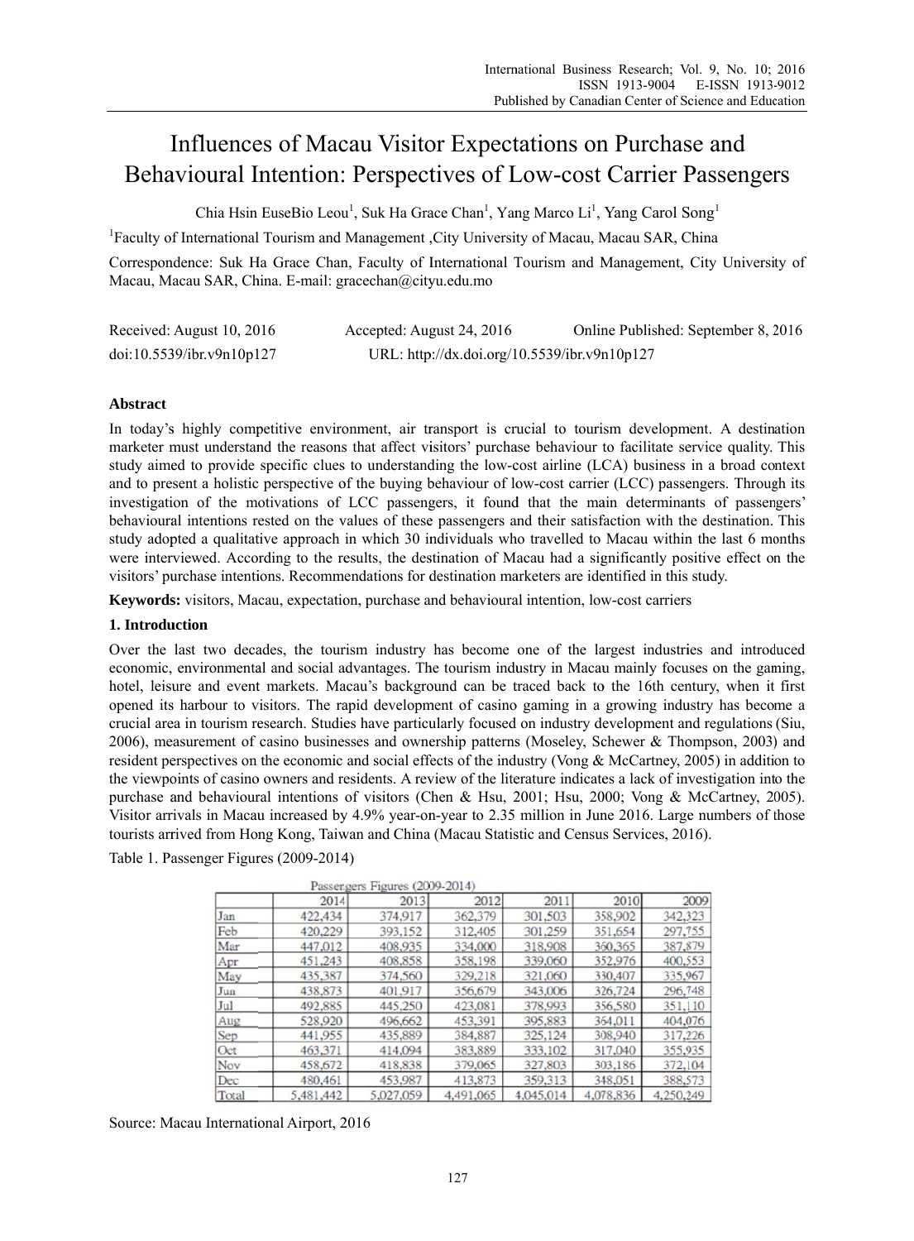# Influences of Macau Visitor Expectations on Purchase and Behavioural Intention: Perspectives of Low-cost Carrier Passengers

Chia Hsin EuseBio Leou<sup>1</sup>, Suk Ha Grace Chan<sup>1</sup>, Yang Marco Li<sup>1</sup>, Yang Carol Song<sup>1</sup>

<sup>1</sup>Faculty of International Tourism and Management , City University of Macau, Macau SAR, China

Correspondence: Suk Ha Grace Chan, Faculty of International Tourism and Management, City University of Macau, Macau SAR, China. E-mail: gracechan@cityu.edu.mo

| Received: August 10, 2016 | Accepted: August 24, 2016                    | Online Published: September 8, 2016 |
|---------------------------|----------------------------------------------|-------------------------------------|
| doi:10.5539/ibr.v9n10p127 | URL: http://dx.doi.org/10.5539/ibr.v9n10p127 |                                     |

# **Abstract**

In today's highly competitive environment, air transport is crucial to tourism development. A destination marketer must understand the reasons that affect visitors' purchase behaviour to facilitate service quality. This study aimed to provide specific clues to understanding the low-cost airline (LCA) business in a broad context and to present a holistic perspective of the buying behaviour of low-cost carrier (LCC) passengers. Through its investigation of the motivations of LCC passengers, it found that the main determinants of passengers' behavioural intentions rested on the values of these passengers and their satisfaction with the destination. This study adopted a qualitative approach in which 30 individuals who travelled to Macau within the last 6 months were interviewed. According to the results, the destination of Macau had a significantly positive effect on the visitors' purchase intentions. Recommendations for destination marketers are identified in this study.

**Keywords:** visitors, Macau, expectation, purchase and behavioural intention, low-cost carriers

## 1. Introduction

Over the last two decades, the tourism industry has become one of the largest industries and introduced economic, environmental and social advantages. The tourism industry in Macau mainly focuses on the gaming, hotel, leisure and event markets. Macau's background can be traced back to the 16th century, when it first opened its harbour to visitors. The rapid development of casino gaming in a growing industry has become a crucial area in tourism research. Studies have particularly focused on industry development and regulations (Siu, 2006), measurement of casino businesses and ownership patterns (Moseley, Schewer & Thompson, 2003) and resident perspectives on the economic and social effects of the industry (Vong  $\&$  McCartney, 2005) in addition to the viewpoints of casino owners and residents. A review of the literature indicates a lack of investigation into the purchase and behavioural intentions of visitors (Chen & Hsu, 2001; Hsu, 2000; Vong & McCartney, 2005). Visitor arrivals in Macau increased by 4.9% year-on-year to 2.35 million in June 2016. Large numbers of those tourists arrived from Hong Kong, Taiwan and China (Macau Statistic and Census Services, 2016).

|            |           | Passengers Pigures (2009-2014) |           |           |           |           |
|------------|-----------|--------------------------------|-----------|-----------|-----------|-----------|
|            | 2014      | 2013                           | 2012      | 2011      | 2010      | 2009      |
| Jan        | 422,434   | 374,917                        | 362,379   | 301,503   | 358,902   | 342,323   |
| Feb        | 420,229   | 393,152                        | 312,405   | 301,259   | 351,654   | 297,755   |
| Mar        | 447,012   | 408,935                        | 334,000   | 318,908   | 360,365   | 387,879   |
| Apr        | 451,243   | 408,858                        | 358,198   | 339,060   | 352,976   | 400,553   |
| May        | 435,387   | 374,560                        | 329,218   | 321,060   | 330,407   | 335,967   |
| Jun        | 438,873   | 401,917                        | 356,679   | 343,006   | 326,724   | 296,748   |
| Jul        | 492,885   | 445,250                        | 423,081   | 378,993   | 356,580   | 351,110   |
| Aug        | 528,920   | 496,662                        | 453,391   | 395,883   | 364,011   | 404,076   |
| Sep        | 441,955   | 435,889                        | 384,887   | 325,124   | 308,940   | 317,226   |
| <b>Oct</b> | 463,371   | 414,094                        | 383,889   | 333,102   | 317,040   | 355,935   |
| Nov        | 458,672   | 418,838                        | 379,065   | 327,803   | 303,186   | 372,104   |
| Dec        | 480,461   | 453,987                        | 413,873   | 359,313   | 348,051   | 388,573   |
| Total      | 5,481,442 | 5,027,059                      | 4,491,065 | 4,045,014 | 4,078,836 | 4,250,249 |

Table 1. Passenger Figures (2009-2014)

Source: Macau International Airport, 2016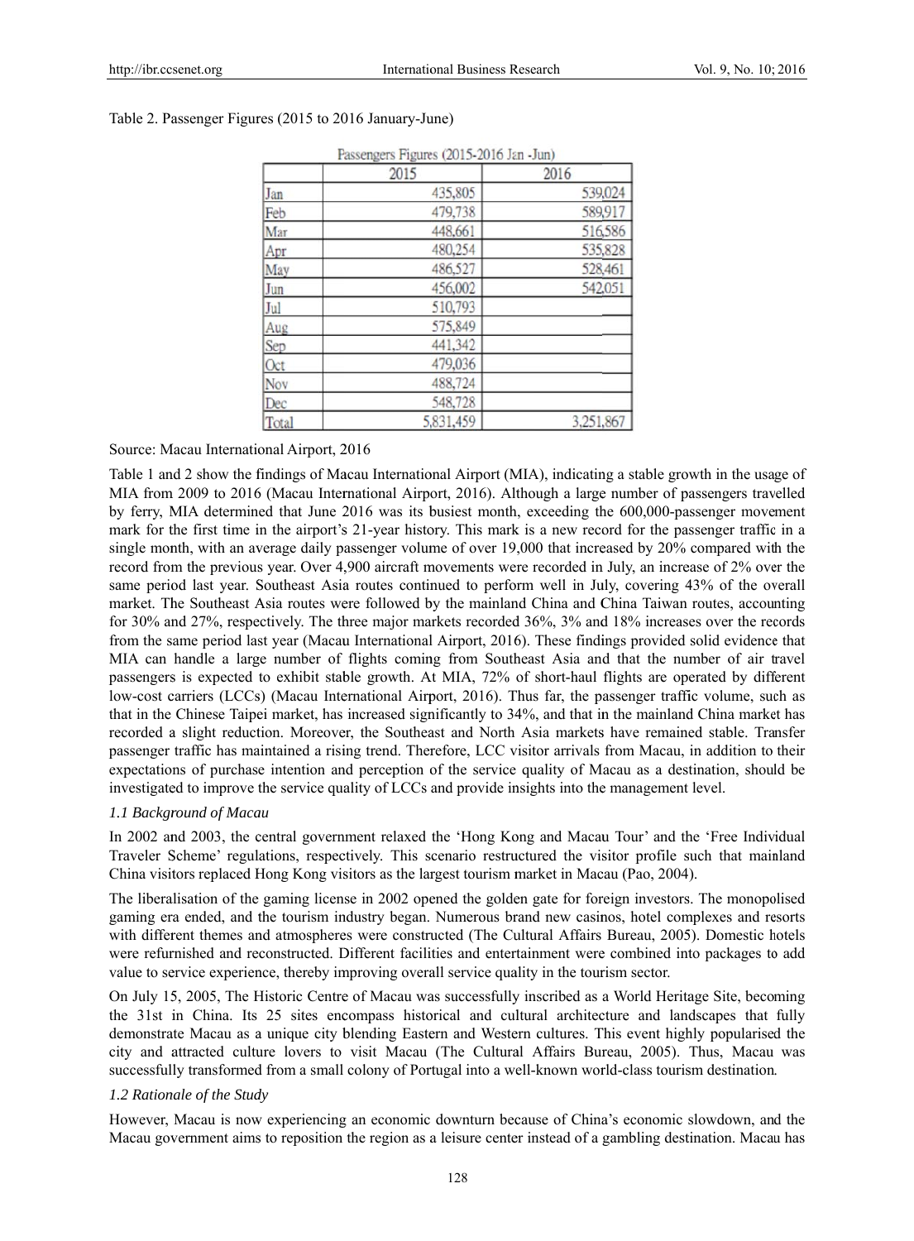|       | 2015      | 2016      |  |  |
|-------|-----------|-----------|--|--|
| Jan   | 435,805   | 539,024   |  |  |
| Feb   | 479,738   | 589,917   |  |  |
| Mar   | 448,661   | 516,586   |  |  |
| Apr   | 480,254   | 535,828   |  |  |
| May   | 486,527   | 528,461   |  |  |
| Jun   | 456,002   | 542,051   |  |  |
| Jul   | 510,793   |           |  |  |
| Aug   | 575,849   |           |  |  |
| Sep   | 441,342   |           |  |  |
| Oct   | 479,036   |           |  |  |
| Nov   | 488,724   |           |  |  |
| Dec   | 548,728   |           |  |  |
| Total | 5,831,459 | 3,251,867 |  |  |

# Table 2. Passenger Figures (2015 to 2016 January-June)

Source: Macau International Airport, 2016

Table 1 and 2 show the findings of Macau International Airport (MIA), indicating a stable growth in the usage of MIA from 2009 to 2016 (Macau International Airport, 2016). Although a large number of passengers travelled by ferry, MIA determined that June 2016 was its busiest month, exceeding the 600,000-passenger movement mark for the first time in the airport's 21-year history. This mark is a new record for the passenger traffic in a single month, with an average daily passenger volume of over 19,000 that increased by 20% compared with the record from the previous year. Over 4,900 aircraft movements were recorded in July, an increase of 2% over the same period last year. Southeast Asia routes continued to perform well in July, covering 43% of the overall market. The Southeast Asia routes were followed by the mainland China and China Taiwan routes, accounting for 30% and 27%, respectively. The three major markets recorded 36%, 3% and 18% increases over the records from the same period last year (Macau International Airport, 2016). These findings provided solid evidence that MIA can handle a large number of flights coming from Southeast Asia and that the number of air travel passengers is expected to exhibit stable growth. At MIA, 72% of short-haul flights are operated by different low-cost carriers (LCCs) (Macau International Airport, 2016). Thus far, the passenger traffic volume, such as that in the Chinese Taipei market, has increased significantly to 34%, and that in the mainland China market has recorded a slight reduction. Moreover, the Southeast and North Asia markets have remained stable. Transfer passenger traffic has maintained a rising trend. Therefore, LCC visitor arrivals from Macau, in addition to their expectations of purchase intention and perception of the service quality of Macau as a destination, should be investigated to improve the service quality of LCCs and provide insights into the management level.

## 1.1 Background of Macau

In 2002 and 2003, the central government relaxed the 'Hong Kong and Macau Tour' and the 'Free Individual Traveler Scheme' regulations, respectively. This scenario restructured the visitor profile such that mainland China visitors replaced Hong Kong visitors as the largest tourism market in Macau (Pao, 2004).

The liberalisation of the gaming license in 2002 opened the golden gate for foreign investors. The monopolised gaming era ended, and the tourism industry began. Numerous brand new casinos, hotel complexes and resorts with different themes and atmospheres were constructed (The Cultural Affairs Bureau, 2005). Domestic hotels were refurnished and reconstructed. Different facilities and entertainment were combined into packages to add value to service experience, thereby improving overall service quality in the tourism sector.

On July 15, 2005, The Historic Centre of Macau was successfully inscribed as a World Heritage Site, becoming the 31st in China. Its 25 sites encompass historical and cultural architecture and landscapes that fully demonstrate Macau as a unique city blending Eastern and Western cultures. This event highly popularised the city and attracted culture lovers to visit Macau (The Cultural Affairs Bureau, 2005). Thus, Macau was successfully transformed from a small colony of Portugal into a well-known world-class tourism destination.

## 1.2 Rationale of the Study

However, Macau is now experiencing an economic downturn because of China's economic slowdown, and the Macau government aims to reposition the region as a leisure center instead of a gambling destination. Macau has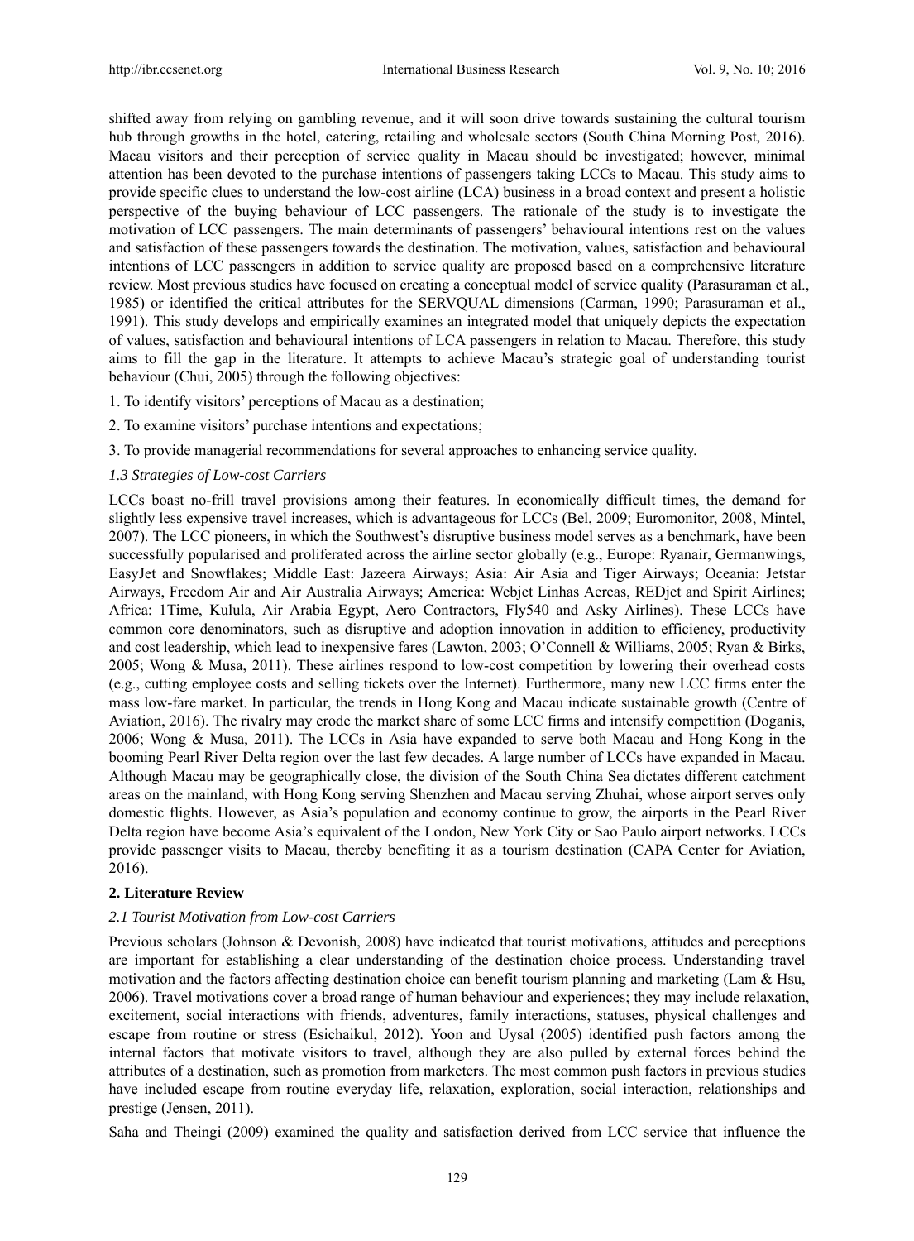shifted away from relying on gambling revenue, and it will soon drive towards sustaining the cultural tourism hub through growths in the hotel, catering, retailing and wholesale sectors (South China Morning Post, 2016). Macau visitors and their perception of service quality in Macau should be investigated; however, minimal attention has been devoted to the purchase intentions of passengers taking LCCs to Macau. This study aims to provide specific clues to understand the low-cost airline (LCA) business in a broad context and present a holistic perspective of the buying behaviour of LCC passengers. The rationale of the study is to investigate the motivation of LCC passengers. The main determinants of passengers' behavioural intentions rest on the values and satisfaction of these passengers towards the destination. The motivation, values, satisfaction and behavioural intentions of LCC passengers in addition to service quality are proposed based on a comprehensive literature review. Most previous studies have focused on creating a conceptual model of service quality (Parasuraman et al., 1985) or identified the critical attributes for the SERVQUAL dimensions (Carman, 1990; Parasuraman et al., 1991). This study develops and empirically examines an integrated model that uniquely depicts the expectation of values, satisfaction and behavioural intentions of LCA passengers in relation to Macau. Therefore, this study aims to fill the gap in the literature. It attempts to achieve Macau's strategic goal of understanding tourist behaviour (Chui, 2005) through the following objectives:

- 1. To identify visitors' perceptions of Macau as a destination;
- 2. To examine visitors' purchase intentions and expectations;
- 3. To provide managerial recommendations for several approaches to enhancing service quality.

# *1.3 Strategies of Low-cost Carriers*

LCCs boast no-frill travel provisions among their features. In economically difficult times, the demand for slightly less expensive travel increases, which is advantageous for LCCs (Bel, 2009; Euromonitor, 2008, Mintel, 2007). The LCC pioneers, in which the Southwest's disruptive business model serves as a benchmark, have been successfully popularised and proliferated across the airline sector globally (e.g., Europe: Ryanair, Germanwings, EasyJet and Snowflakes; Middle East: Jazeera Airways; Asia: Air Asia and Tiger Airways; Oceania: Jetstar Airways, Freedom Air and Air Australia Airways; America: Webjet Linhas Aereas, REDjet and Spirit Airlines; Africa: 1Time, Kulula, Air Arabia Egypt, Aero Contractors, Fly540 and Asky Airlines). These LCCs have common core denominators, such as disruptive and adoption innovation in addition to efficiency, productivity and cost leadership, which lead to inexpensive fares (Lawton, 2003; O'Connell & Williams, 2005; Ryan & Birks, 2005; Wong & Musa, 2011). These airlines respond to low-cost competition by lowering their overhead costs (e.g., cutting employee costs and selling tickets over the Internet). Furthermore, many new LCC firms enter the mass low-fare market. In particular, the trends in Hong Kong and Macau indicate sustainable growth (Centre of Aviation, 2016). The rivalry may erode the market share of some LCC firms and intensify competition (Doganis, 2006; Wong & Musa, 2011). The LCCs in Asia have expanded to serve both Macau and Hong Kong in the booming Pearl River Delta region over the last few decades. A large number of LCCs have expanded in Macau. Although Macau may be geographically close, the division of the South China Sea dictates different catchment areas on the mainland, with Hong Kong serving Shenzhen and Macau serving Zhuhai, whose airport serves only domestic flights. However, as Asia's population and economy continue to grow, the airports in the Pearl River Delta region have become Asia's equivalent of the London, New York City or Sao Paulo airport networks. LCCs provide passenger visits to Macau, thereby benefiting it as a tourism destination (CAPA Center for Aviation, 2016).

# **2. Literature Review**

## *2.1 Tourist Motivation from Low-cost Carriers*

Previous scholars (Johnson & Devonish, 2008) have indicated that tourist motivations, attitudes and perceptions are important for establishing a clear understanding of the destination choice process. Understanding travel motivation and the factors affecting destination choice can benefit tourism planning and marketing (Lam & Hsu, 2006). Travel motivations cover a broad range of human behaviour and experiences; they may include relaxation, excitement, social interactions with friends, adventures, family interactions, statuses, physical challenges and escape from routine or stress (Esichaikul, 2012). Yoon and Uysal (2005) identified push factors among the internal factors that motivate visitors to travel, although they are also pulled by external forces behind the attributes of a destination, such as promotion from marketers. The most common push factors in previous studies have included escape from routine everyday life, relaxation, exploration, social interaction, relationships and prestige (Jensen, 2011).

Saha and Theingi (2009) examined the quality and satisfaction derived from LCC service that influence the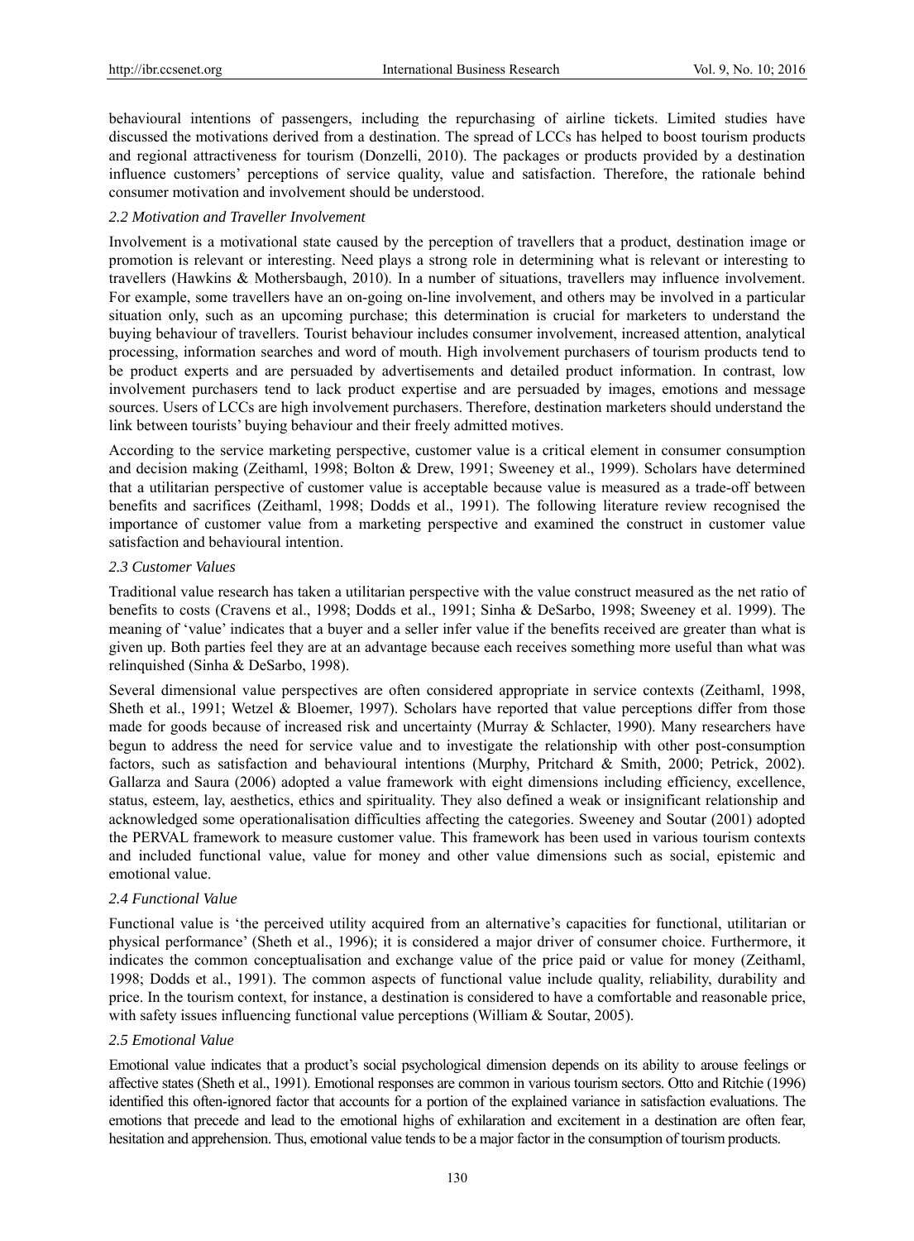behavioural intentions of passengers, including the repurchasing of airline tickets. Limited studies have discussed the motivations derived from a destination. The spread of LCCs has helped to boost tourism products and regional attractiveness for tourism (Donzelli, 2010). The packages or products provided by a destination influence customers' perceptions of service quality, value and satisfaction. Therefore, the rationale behind consumer motivation and involvement should be understood.

## *2.2 Motivation and Traveller Involvement*

Involvement is a motivational state caused by the perception of travellers that a product, destination image or promotion is relevant or interesting. Need plays a strong role in determining what is relevant or interesting to travellers (Hawkins & Mothersbaugh, 2010). In a number of situations, travellers may influence involvement. For example, some travellers have an on-going on-line involvement, and others may be involved in a particular situation only, such as an upcoming purchase; this determination is crucial for marketers to understand the buying behaviour of travellers. Tourist behaviour includes consumer involvement, increased attention, analytical processing, information searches and word of mouth. High involvement purchasers of tourism products tend to be product experts and are persuaded by advertisements and detailed product information. In contrast, low involvement purchasers tend to lack product expertise and are persuaded by images, emotions and message sources. Users of LCCs are high involvement purchasers. Therefore, destination marketers should understand the link between tourists' buying behaviour and their freely admitted motives.

According to the service marketing perspective, customer value is a critical element in consumer consumption and decision making (Zeithaml, 1998; Bolton & Drew, 1991; Sweeney et al., 1999). Scholars have determined that a utilitarian perspective of customer value is acceptable because value is measured as a trade-off between benefits and sacrifices (Zeithaml, 1998; Dodds et al., 1991). The following literature review recognised the importance of customer value from a marketing perspective and examined the construct in customer value satisfaction and behavioural intention.

#### *2.3 Customer Values*

Traditional value research has taken a utilitarian perspective with the value construct measured as the net ratio of benefits to costs (Cravens et al., 1998; Dodds et al., 1991; Sinha & DeSarbo, 1998; Sweeney et al. 1999). The meaning of 'value' indicates that a buyer and a seller infer value if the benefits received are greater than what is given up. Both parties feel they are at an advantage because each receives something more useful than what was relinquished (Sinha & DeSarbo, 1998).

Several dimensional value perspectives are often considered appropriate in service contexts (Zeithaml, 1998, Sheth et al., 1991; Wetzel & Bloemer, 1997). Scholars have reported that value perceptions differ from those made for goods because of increased risk and uncertainty (Murray & Schlacter, 1990). Many researchers have begun to address the need for service value and to investigate the relationship with other post-consumption factors, such as satisfaction and behavioural intentions (Murphy, Pritchard & Smith, 2000; Petrick, 2002). Gallarza and Saura (2006) adopted a value framework with eight dimensions including efficiency, excellence, status, esteem, lay, aesthetics, ethics and spirituality. They also defined a weak or insignificant relationship and acknowledged some operationalisation difficulties affecting the categories. Sweeney and Soutar (2001) adopted the PERVAL framework to measure customer value. This framework has been used in various tourism contexts and included functional value, value for money and other value dimensions such as social, epistemic and emotional value.

#### *2.4 Functional Value*

Functional value is 'the perceived utility acquired from an alternative's capacities for functional, utilitarian or physical performance' (Sheth et al., 1996); it is considered a major driver of consumer choice. Furthermore, it indicates the common conceptualisation and exchange value of the price paid or value for money (Zeithaml, 1998; Dodds et al., 1991). The common aspects of functional value include quality, reliability, durability and price. In the tourism context, for instance, a destination is considered to have a comfortable and reasonable price, with safety issues influencing functional value perceptions (William & Soutar, 2005).

#### *2.5 Emotional Value*

Emotional value indicates that a product's social psychological dimension depends on its ability to arouse feelings or affective states (Sheth et al., 1991). Emotional responses are common in various tourism sectors. Otto and Ritchie (1996) identified this often-ignored factor that accounts for a portion of the explained variance in satisfaction evaluations. The emotions that precede and lead to the emotional highs of exhilaration and excitement in a destination are often fear, hesitation and apprehension. Thus, emotional value tends to be a major factor in the consumption of tourism products.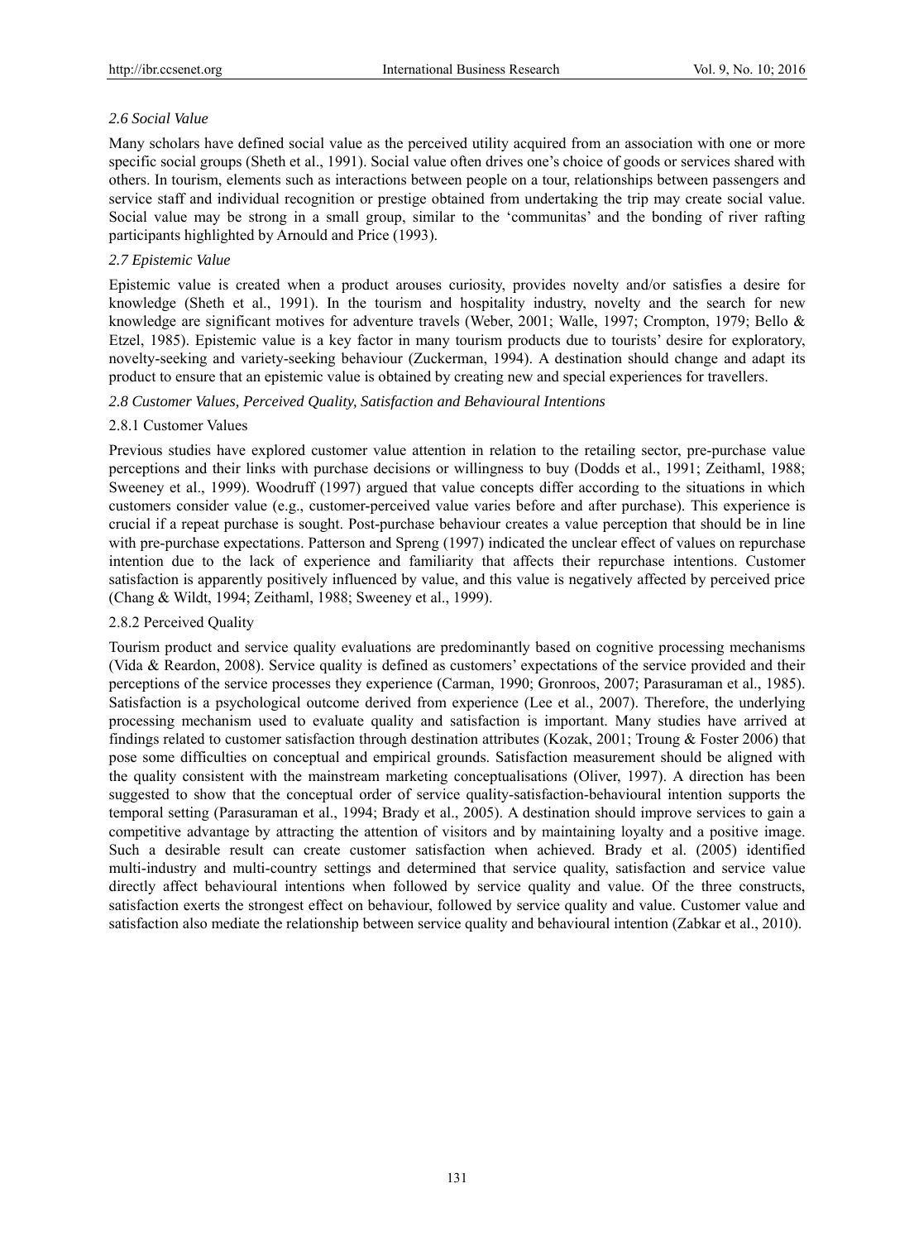# *2.6 Social Value*

Many scholars have defined social value as the perceived utility acquired from an association with one or more specific social groups (Sheth et al., 1991). Social value often drives one's choice of goods or services shared with others. In tourism, elements such as interactions between people on a tour, relationships between passengers and service staff and individual recognition or prestige obtained from undertaking the trip may create social value. Social value may be strong in a small group, similar to the 'communitas' and the bonding of river rafting participants highlighted by Arnould and Price (1993).

# *2.7 Epistemic Value*

Epistemic value is created when a product arouses curiosity, provides novelty and/or satisfies a desire for knowledge (Sheth et al., 1991). In the tourism and hospitality industry, novelty and the search for new knowledge are significant motives for adventure travels (Weber, 2001; Walle, 1997; Crompton, 1979; Bello & Etzel, 1985). Epistemic value is a key factor in many tourism products due to tourists' desire for exploratory, novelty-seeking and variety-seeking behaviour (Zuckerman, 1994). A destination should change and adapt its product to ensure that an epistemic value is obtained by creating new and special experiences for travellers.

## *2.8 Customer Values, Perceived Quality, Satisfaction and Behavioural Intentions*

## 2.8.1 Customer Values

Previous studies have explored customer value attention in relation to the retailing sector, pre-purchase value perceptions and their links with purchase decisions or willingness to buy (Dodds et al., 1991; Zeithaml, 1988; Sweeney et al., 1999). Woodruff (1997) argued that value concepts differ according to the situations in which customers consider value (e.g., customer-perceived value varies before and after purchase). This experience is crucial if a repeat purchase is sought. Post-purchase behaviour creates a value perception that should be in line with pre-purchase expectations. Patterson and Spreng (1997) indicated the unclear effect of values on repurchase intention due to the lack of experience and familiarity that affects their repurchase intentions. Customer satisfaction is apparently positively influenced by value, and this value is negatively affected by perceived price (Chang & Wildt, 1994; Zeithaml, 1988; Sweeney et al., 1999).

# 2.8.2 Perceived Quality

Tourism product and service quality evaluations are predominantly based on cognitive processing mechanisms (Vida & Reardon, 2008). Service quality is defined as customers' expectations of the service provided and their perceptions of the service processes they experience (Carman, 1990; Gronroos, 2007; Parasuraman et al., 1985). Satisfaction is a psychological outcome derived from experience (Lee et al., 2007). Therefore, the underlying processing mechanism used to evaluate quality and satisfaction is important. Many studies have arrived at findings related to customer satisfaction through destination attributes (Kozak, 2001; Troung & Foster 2006) that pose some difficulties on conceptual and empirical grounds. Satisfaction measurement should be aligned with the quality consistent with the mainstream marketing conceptualisations (Oliver, 1997). A direction has been suggested to show that the conceptual order of service quality-satisfaction-behavioural intention supports the temporal setting (Parasuraman et al., 1994; Brady et al., 2005). A destination should improve services to gain a competitive advantage by attracting the attention of visitors and by maintaining loyalty and a positive image. Such a desirable result can create customer satisfaction when achieved. Brady et al. (2005) identified multi-industry and multi-country settings and determined that service quality, satisfaction and service value directly affect behavioural intentions when followed by service quality and value. Of the three constructs, satisfaction exerts the strongest effect on behaviour, followed by service quality and value. Customer value and satisfaction also mediate the relationship between service quality and behavioural intention (Zabkar et al., 2010).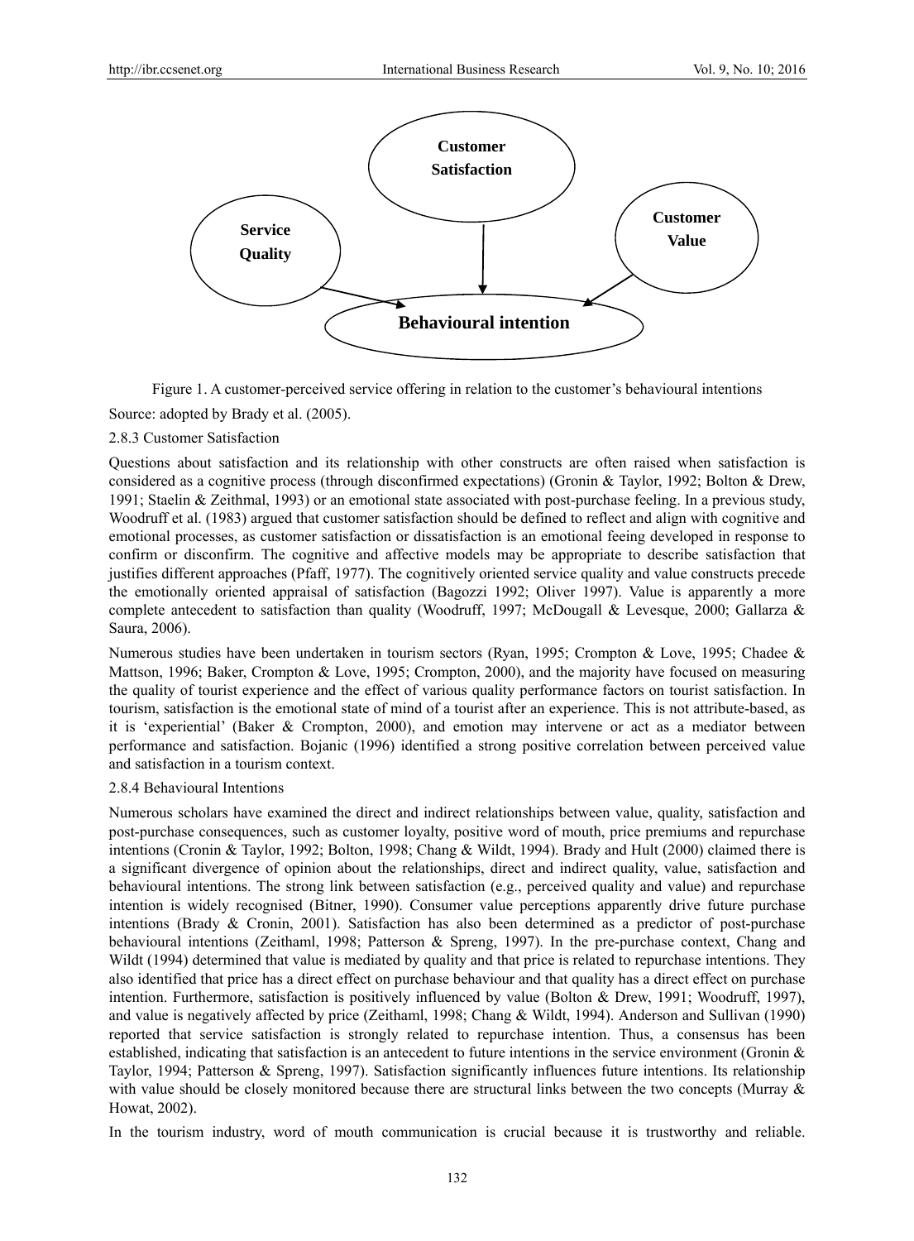

Figure 1. A customer-perceived service offering in relation to the customer's behavioural intentions

Source: adopted by Brady et al.  $(2005)$ .

## 2.8.3 Customer Satisfaction

Questions about satisfaction and its relationship with other constructs are often raised when satisfaction is considered as a cognitive process (through disconfirmed expectations) (Gronin & Taylor, 1992; Bolton & Drew, 1991; Staelin & Zeithmal, 1993) or an emotional state associated with post-purchase feeling. In a previous study, Woodruff et al. (1983) argued that customer satisfaction should be defined to reflect and align with cognitive and emotional processes, as customer satisfaction or dissatisfaction is an emotional feeing developed in response to confirm or disconfirm. The cognitive and affective models may be appropriate to describe satisfaction that justifies different approaches (Pfaff, 1977). The cognitively oriented service quality and value constructs precede the emotionally oriented appraisal of satisfaction (Bagozzi 1992; Oliver 1997). Value is apparently a more complete antecedent to satisfaction than quality (Woodruff, 1997; McDougall & Levesque, 2000; Gallarza & Saura, 2006).

Numerous studies have been undertaken in tourism sectors (Ryan, 1995; Crompton & Love, 1995; Chadee & Mattson, 1996; Baker, Crompton & Love, 1995; Crompton, 2000), and the majority have focused on measuring the quality of tourist experience and the effect of various quality performance factors on tourist satisfaction. In tourism, satisfaction is the emotional state of mind of a tourist after an experience. This is not attribute-based, as it is 'experiential' (Baker & Crompton, 2000), and emotion may intervene or act as a mediator between performance and satisfaction. Bojanic (1996) identified a strong positive correlation between perceived value and satisfaction in a tourism context.

## 2.8.4 Behavioural Intentions

Numerous scholars have examined the direct and indirect relationships between value, quality, satisfaction and post-purchase consequences, such as customer loyalty, positive word of mouth, price premiums and repurchase intentions (Cronin & Taylor, 1992; Bolton, 1998; Chang & Wildt, 1994). Brady and Hult (2000) claimed there is a significant divergence of opinion about the relationships, direct and indirect quality, value, satisfaction and behavioural intentions. The strong link between satisfaction (e.g., perceived quality and value) and repurchase intention is widely recognised (Bitner, 1990). Consumer value perceptions apparently drive future purchase intentions (Brady & Cronin, 2001). Satisfaction has also been determined as a predictor of post-purchase behavioural intentions (Zeithaml, 1998; Patterson & Spreng, 1997). In the pre-purchase context, Chang and Wildt (1994) determined that value is mediated by quality and that price is related to repurchase intentions. They also identified that price has a direct effect on purchase behaviour and that quality has a direct effect on purchase intention. Furthermore, satisfaction is positively influenced by value (Bolton & Drew, 1991; Woodruff, 1997), and value is negatively affected by price (Zeithaml, 1998; Chang & Wildt, 1994). Anderson and Sullivan (1990) reported that service satisfaction is strongly related to repurchase intention. Thus, a consensus has been established, indicating that satisfaction is an antecedent to future intentions in the service environment (Gronin & Taylor, 1994; Patterson & Spreng, 1997). Satisfaction significantly influences future intentions. Its relationship with value should be closely monitored because there are structural links between the two concepts (Murray & Howat, 2002).

In the tourism industry, word of mouth communication is crucial because it is trustworthy and reliable.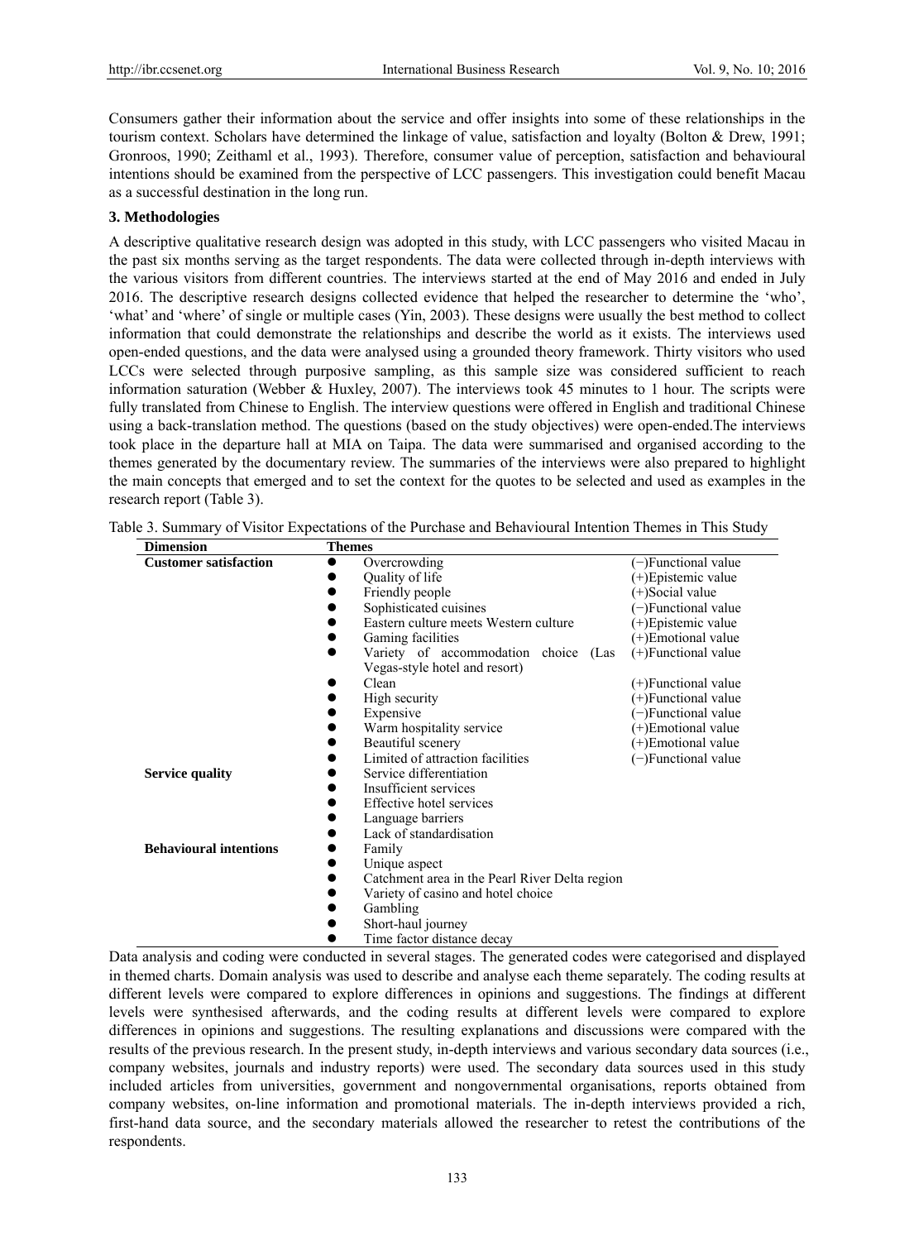Consumers gather their information about the service and offer insights into some of these relationships in the tourism context. Scholars have determined the linkage of value, satisfaction and loyalty (Bolton & Drew, 1991; Gronroos, 1990; Zeithaml et al., 1993). Therefore, consumer value of perception, satisfaction and behavioural intentions should be examined from the perspective of LCC passengers. This investigation could benefit Macau as a successful destination in the long run.

# **3. Methodologies**

A descriptive qualitative research design was adopted in this study, with LCC passengers who visited Macau in the past six months serving as the target respondents. The data were collected through in-depth interviews with the various visitors from different countries. The interviews started at the end of May 2016 and ended in July 2016. The descriptive research designs collected evidence that helped the researcher to determine the 'who', 'what' and 'where' of single or multiple cases (Yin, 2003). These designs were usually the best method to collect information that could demonstrate the relationships and describe the world as it exists. The interviews used open-ended questions, and the data were analysed using a grounded theory framework. Thirty visitors who used LCCs were selected through purposive sampling, as this sample size was considered sufficient to reach information saturation (Webber & Huxley, 2007). The interviews took 45 minutes to 1 hour. The scripts were fully translated from Chinese to English. The interview questions were offered in English and traditional Chinese using a back-translation method. The questions (based on the study objectives) were open-ended.The interviews took place in the departure hall at MIA on Taipa. The data were summarised and organised according to the themes generated by the documentary review. The summaries of the interviews were also prepared to highlight the main concepts that emerged and to set the context for the quotes to be selected and used as examples in the research report (Table 3).

| <b>Dimension</b>              | <b>Themes</b>                                  |                        |  |  |  |
|-------------------------------|------------------------------------------------|------------------------|--|--|--|
| <b>Customer satisfaction</b>  | Overcrowding<br>Ω                              | (-)Functional value    |  |  |  |
|                               | Quality of life                                | (+)Epistemic value     |  |  |  |
|                               | Friendly people                                | (+)Social value        |  |  |  |
|                               | Sophisticated cuisines                         | (-)Functional value    |  |  |  |
|                               | Eastern culture meets Western culture          | (+)Epistemic value     |  |  |  |
|                               | Gaming facilities                              | $(+)$ Emotional value  |  |  |  |
|                               | Variety of accommodation choice (Las<br>●      | $(+)$ Functional value |  |  |  |
|                               | Vegas-style hotel and resort)                  |                        |  |  |  |
|                               | Clean                                          | $(+)$ Functional value |  |  |  |
|                               | High security                                  | (+)Functional value    |  |  |  |
|                               | Expensive                                      | (-)Functional value    |  |  |  |
|                               | Warm hospitality service                       | (+)Emotional value     |  |  |  |
|                               | Beautiful scenery                              | (+)Emotional value     |  |  |  |
|                               | Limited of attraction facilities               | $(-)$ Functional value |  |  |  |
| <b>Service quality</b>        | Service differentiation                        |                        |  |  |  |
|                               | Insufficient services                          |                        |  |  |  |
|                               | Effective hotel services                       |                        |  |  |  |
|                               | Language barriers                              |                        |  |  |  |
|                               | Lack of standardisation                        |                        |  |  |  |
| <b>Behavioural intentions</b> | Family                                         |                        |  |  |  |
|                               | Unique aspect                                  |                        |  |  |  |
|                               | Catchment area in the Pearl River Delta region |                        |  |  |  |
|                               | Variety of casino and hotel choice             |                        |  |  |  |
|                               | Gambling                                       |                        |  |  |  |
|                               | Short-haul journey                             |                        |  |  |  |
|                               | Time factor distance decay                     |                        |  |  |  |

|  |  | Table 3. Summary of Visitor Expectations of the Purchase and Behavioural Intention Themes in This Study |  |  |  |  |
|--|--|---------------------------------------------------------------------------------------------------------|--|--|--|--|
|  |  |                                                                                                         |  |  |  |  |

Data analysis and coding were conducted in several stages. The generated codes were categorised and displayed in themed charts. Domain analysis was used to describe and analyse each theme separately. The coding results at different levels were compared to explore differences in opinions and suggestions. The findings at different levels were synthesised afterwards, and the coding results at different levels were compared to explore differences in opinions and suggestions. The resulting explanations and discussions were compared with the results of the previous research. In the present study, in-depth interviews and various secondary data sources (i.e., company websites, journals and industry reports) were used. The secondary data sources used in this study included articles from universities, government and nongovernmental organisations, reports obtained from company websites, on-line information and promotional materials. The in-depth interviews provided a rich, first-hand data source, and the secondary materials allowed the researcher to retest the contributions of the respondents.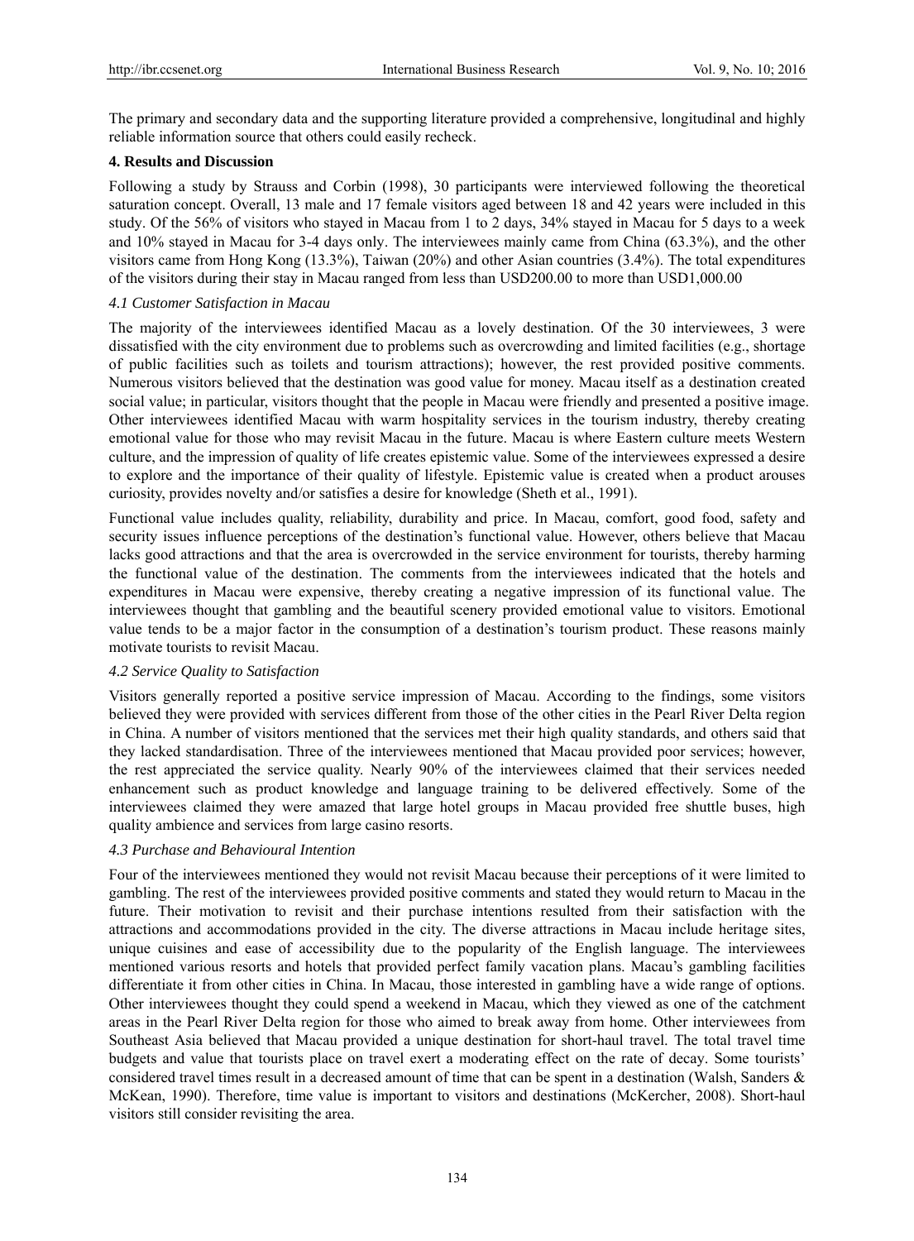The primary and secondary data and the supporting literature provided a comprehensive, longitudinal and highly reliable information source that others could easily recheck.

# **4. Results and Discussion**

Following a study by Strauss and Corbin (1998), 30 participants were interviewed following the theoretical saturation concept. Overall, 13 male and 17 female visitors aged between 18 and 42 years were included in this study. Of the 56% of visitors who stayed in Macau from 1 to 2 days, 34% stayed in Macau for 5 days to a week and 10% stayed in Macau for 3-4 days only. The interviewees mainly came from China (63.3%), and the other visitors came from Hong Kong (13.3%), Taiwan (20%) and other Asian countries (3.4%). The total expenditures of the visitors during their stay in Macau ranged from less than USD200.00 to more than USD1,000.00

# *4.1 Customer Satisfaction in Macau*

The majority of the interviewees identified Macau as a lovely destination. Of the 30 interviewees, 3 were dissatisfied with the city environment due to problems such as overcrowding and limited facilities (e.g., shortage of public facilities such as toilets and tourism attractions); however, the rest provided positive comments. Numerous visitors believed that the destination was good value for money. Macau itself as a destination created social value; in particular, visitors thought that the people in Macau were friendly and presented a positive image. Other interviewees identified Macau with warm hospitality services in the tourism industry, thereby creating emotional value for those who may revisit Macau in the future. Macau is where Eastern culture meets Western culture, and the impression of quality of life creates epistemic value. Some of the interviewees expressed a desire to explore and the importance of their quality of lifestyle. Epistemic value is created when a product arouses curiosity, provides novelty and/or satisfies a desire for knowledge (Sheth et al., 1991).

Functional value includes quality, reliability, durability and price. In Macau, comfort, good food, safety and security issues influence perceptions of the destination's functional value. However, others believe that Macau lacks good attractions and that the area is overcrowded in the service environment for tourists, thereby harming the functional value of the destination. The comments from the interviewees indicated that the hotels and expenditures in Macau were expensive, thereby creating a negative impression of its functional value. The interviewees thought that gambling and the beautiful scenery provided emotional value to visitors. Emotional value tends to be a major factor in the consumption of a destination's tourism product. These reasons mainly motivate tourists to revisit Macau.

## *4.2 Service Quality to Satisfaction*

Visitors generally reported a positive service impression of Macau. According to the findings, some visitors believed they were provided with services different from those of the other cities in the Pearl River Delta region in China. A number of visitors mentioned that the services met their high quality standards, and others said that they lacked standardisation. Three of the interviewees mentioned that Macau provided poor services; however, the rest appreciated the service quality. Nearly 90% of the interviewees claimed that their services needed enhancement such as product knowledge and language training to be delivered effectively. Some of the interviewees claimed they were amazed that large hotel groups in Macau provided free shuttle buses, high quality ambience and services from large casino resorts.

## *4.3 Purchase and Behavioural Intention*

Four of the interviewees mentioned they would not revisit Macau because their perceptions of it were limited to gambling. The rest of the interviewees provided positive comments and stated they would return to Macau in the future. Their motivation to revisit and their purchase intentions resulted from their satisfaction with the attractions and accommodations provided in the city. The diverse attractions in Macau include heritage sites, unique cuisines and ease of accessibility due to the popularity of the English language. The interviewees mentioned various resorts and hotels that provided perfect family vacation plans. Macau's gambling facilities differentiate it from other cities in China. In Macau, those interested in gambling have a wide range of options. Other interviewees thought they could spend a weekend in Macau, which they viewed as one of the catchment areas in the Pearl River Delta region for those who aimed to break away from home. Other interviewees from Southeast Asia believed that Macau provided a unique destination for short-haul travel. The total travel time budgets and value that tourists place on travel exert a moderating effect on the rate of decay. Some tourists' considered travel times result in a decreased amount of time that can be spent in a destination (Walsh, Sanders & McKean, 1990). Therefore, time value is important to visitors and destinations (McKercher, 2008). Short-haul visitors still consider revisiting the area.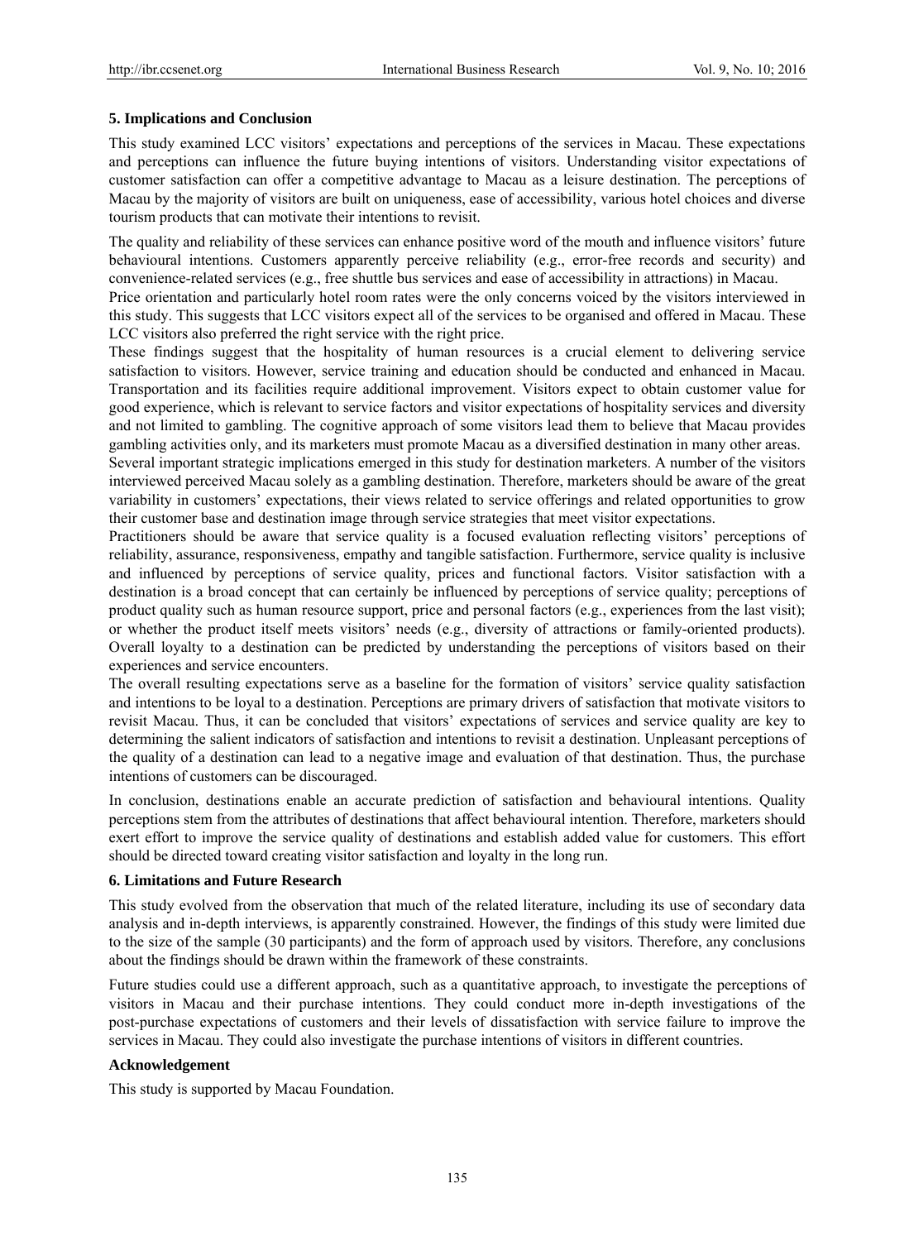# **5. Implications and Conclusion**

This study examined LCC visitors' expectations and perceptions of the services in Macau. These expectations and perceptions can influence the future buying intentions of visitors. Understanding visitor expectations of customer satisfaction can offer a competitive advantage to Macau as a leisure destination. The perceptions of Macau by the majority of visitors are built on uniqueness, ease of accessibility, various hotel choices and diverse tourism products that can motivate their intentions to revisit.

The quality and reliability of these services can enhance positive word of the mouth and influence visitors' future behavioural intentions. Customers apparently perceive reliability (e.g., error-free records and security) and convenience-related services (e.g., free shuttle bus services and ease of accessibility in attractions) in Macau.

Price orientation and particularly hotel room rates were the only concerns voiced by the visitors interviewed in this study. This suggests that LCC visitors expect all of the services to be organised and offered in Macau. These LCC visitors also preferred the right service with the right price.

These findings suggest that the hospitality of human resources is a crucial element to delivering service satisfaction to visitors. However, service training and education should be conducted and enhanced in Macau. Transportation and its facilities require additional improvement. Visitors expect to obtain customer value for good experience, which is relevant to service factors and visitor expectations of hospitality services and diversity and not limited to gambling. The cognitive approach of some visitors lead them to believe that Macau provides gambling activities only, and its marketers must promote Macau as a diversified destination in many other areas.

Several important strategic implications emerged in this study for destination marketers. A number of the visitors interviewed perceived Macau solely as a gambling destination. Therefore, marketers should be aware of the great variability in customers' expectations, their views related to service offerings and related opportunities to grow their customer base and destination image through service strategies that meet visitor expectations.

Practitioners should be aware that service quality is a focused evaluation reflecting visitors' perceptions of reliability, assurance, responsiveness, empathy and tangible satisfaction. Furthermore, service quality is inclusive and influenced by perceptions of service quality, prices and functional factors. Visitor satisfaction with a destination is a broad concept that can certainly be influenced by perceptions of service quality; perceptions of product quality such as human resource support, price and personal factors (e.g., experiences from the last visit); or whether the product itself meets visitors' needs (e.g., diversity of attractions or family-oriented products). Overall loyalty to a destination can be predicted by understanding the perceptions of visitors based on their experiences and service encounters.

The overall resulting expectations serve as a baseline for the formation of visitors' service quality satisfaction and intentions to be loyal to a destination. Perceptions are primary drivers of satisfaction that motivate visitors to revisit Macau. Thus, it can be concluded that visitors' expectations of services and service quality are key to determining the salient indicators of satisfaction and intentions to revisit a destination. Unpleasant perceptions of the quality of a destination can lead to a negative image and evaluation of that destination. Thus, the purchase intentions of customers can be discouraged.

In conclusion, destinations enable an accurate prediction of satisfaction and behavioural intentions. Quality perceptions stem from the attributes of destinations that affect behavioural intention. Therefore, marketers should exert effort to improve the service quality of destinations and establish added value for customers. This effort should be directed toward creating visitor satisfaction and loyalty in the long run.

## **6. Limitations and Future Research**

This study evolved from the observation that much of the related literature, including its use of secondary data analysis and in-depth interviews, is apparently constrained. However, the findings of this study were limited due to the size of the sample (30 participants) and the form of approach used by visitors. Therefore, any conclusions about the findings should be drawn within the framework of these constraints.

Future studies could use a different approach, such as a quantitative approach, to investigate the perceptions of visitors in Macau and their purchase intentions. They could conduct more in-depth investigations of the post-purchase expectations of customers and their levels of dissatisfaction with service failure to improve the services in Macau. They could also investigate the purchase intentions of visitors in different countries.

# **Acknowledgement**

This study is supported by Macau Foundation.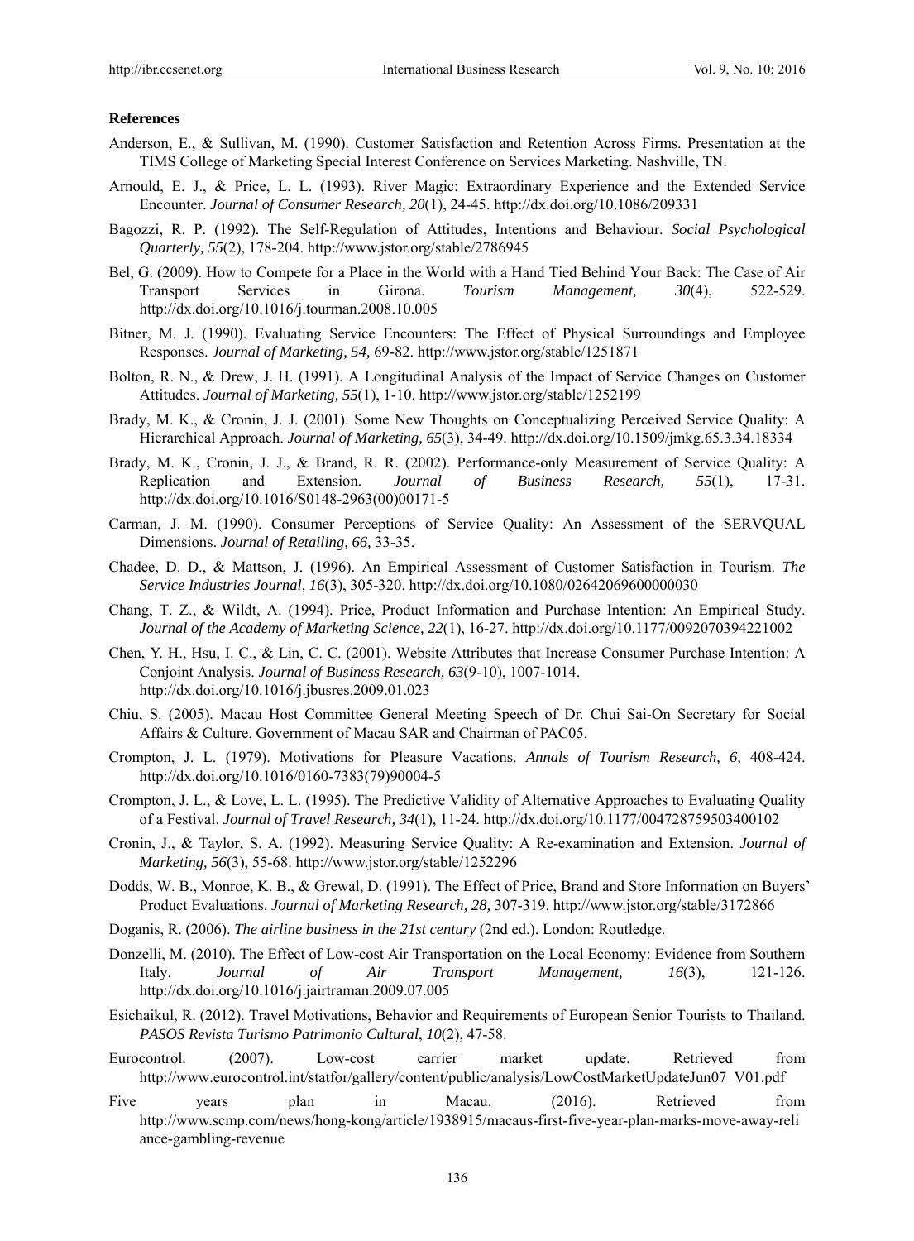#### **References**

- Anderson, E., & Sullivan, M. (1990). Customer Satisfaction and Retention Across Firms. Presentation at the TIMS College of Marketing Special Interest Conference on Services Marketing. Nashville, TN.
- Arnould, E. J., & Price, L. L. (1993). River Magic: Extraordinary Experience and the Extended Service Encounter. *Journal of Consumer Research, 20*(1), 24-45. http://dx.doi.org/10.1086/209331
- Bagozzi, R. P. (1992). The Self-Regulation of Attitudes, Intentions and Behaviour. *Social Psychological Quarterly, 55*(2), 178-204. http://www.jstor.org/stable/2786945
- Bel, G. (2009). How to Compete for a Place in the World with a Hand Tied Behind Your Back: The Case of Air Transport Services in Girona. *Tourism Management, 30*(4), 522-529. http://dx.doi.org/10.1016/j.tourman.2008.10.005
- Bitner, M. J. (1990). Evaluating Service Encounters: The Effect of Physical Surroundings and Employee Responses. *Journal of Marketing, 54,* 69-82. http://www.jstor.org/stable/1251871
- Bolton, R. N., & Drew, J. H. (1991). A Longitudinal Analysis of the Impact of Service Changes on Customer Attitudes. *Journal of Marketing, 55*(1), 1-10. http://www.jstor.org/stable/1252199
- Brady, M. K., & Cronin, J. J. (2001). Some New Thoughts on Conceptualizing Perceived Service Quality: A Hierarchical Approach. *Journal of Marketing, 65*(3), 34-49. http://dx.doi.org/10.1509/jmkg.65.3.34.18334
- Brady, M. K., Cronin, J. J., & Brand, R. R. (2002). Performance-only Measurement of Service Quality: A Replication and Extension. *Journal of Business Research, 55*(1), 17-31. http://dx.doi.org/10.1016/S0148-2963(00)00171-5
- Carman, J. M. (1990). Consumer Perceptions of Service Quality: An Assessment of the SERVQUAL Dimensions. *Journal of Retailing, 66,* 33-35.
- Chadee, D. D., & Mattson, J. (1996). An Empirical Assessment of Customer Satisfaction in Tourism. *The Service Industries Journal, 16*(3), 305-320. http://dx.doi.org/10.1080/02642069600000030
- Chang, T. Z., & Wildt, A. (1994). Price, Product Information and Purchase Intention: An Empirical Study. *Journal of the Academy of Marketing Science, 22*(1), 16-27. http://dx.doi.org/10.1177/0092070394221002
- Chen, Y. H., Hsu, I. C., & Lin, C. C. (2001). Website Attributes that Increase Consumer Purchase Intention: A Conjoint Analysis. *Journal of Business Research, 63*(9-10), 1007-1014. http://dx.doi.org/10.1016/j.jbusres.2009.01.023
- Chiu, S. (2005). Macau Host Committee General Meeting Speech of Dr. Chui Sai-On Secretary for Social Affairs & Culture. Government of Macau SAR and Chairman of PAC05.
- Crompton, J. L. (1979). Motivations for Pleasure Vacations. *Annals of Tourism Research, 6,* 408-424. http://dx.doi.org/10.1016/0160-7383(79)90004-5
- Crompton, J. L., & Love, L. L. (1995). The Predictive Validity of Alternative Approaches to Evaluating Quality of a Festival. *Journal of Travel Research, 34*(1), 11-24. http://dx.doi.org/10.1177/004728759503400102
- Cronin, J., & Taylor, S. A. (1992). Measuring Service Quality: A Re-examination and Extension. *Journal of Marketing, 56*(3), 55-68. http://www.jstor.org/stable/1252296
- Dodds, W. B., Monroe, K. B., & Grewal, D. (1991). The Effect of Price, Brand and Store Information on Buyers' Product Evaluations. *Journal of Marketing Research, 28,* 307-319. http://www.jstor.org/stable/3172866
- Doganis, R. (2006). *The airline business in the 21st century* (2nd ed.). London: Routledge.
- Donzelli, M. (2010). The Effect of Low-cost Air Transportation on the Local Economy: Evidence from Southern Italy. *Journal of Air Transport Management, 16*(3), 121-126. http://dx.doi.org/10.1016/j.jairtraman.2009.07.005
- Esichaikul, R. (2012). Travel Motivations, Behavior and Requirements of European Senior Tourists to Thailand. *PASOS Revista Turismo Patrimonio Cultural*, *10*(2), 47-58.
- Eurocontrol. (2007). Low-cost carrier market update. Retrieved from http://www.eurocontrol.int/statfor/gallery/content/public/analysis/LowCostMarketUpdateJun07\_V01.pdf
- Five years plan in Macau. (2016). Retrieved from http://www.scmp.com/news/hong-kong/article/1938915/macaus-first-five-year-plan-marks-move-away-reli ance-gambling-revenue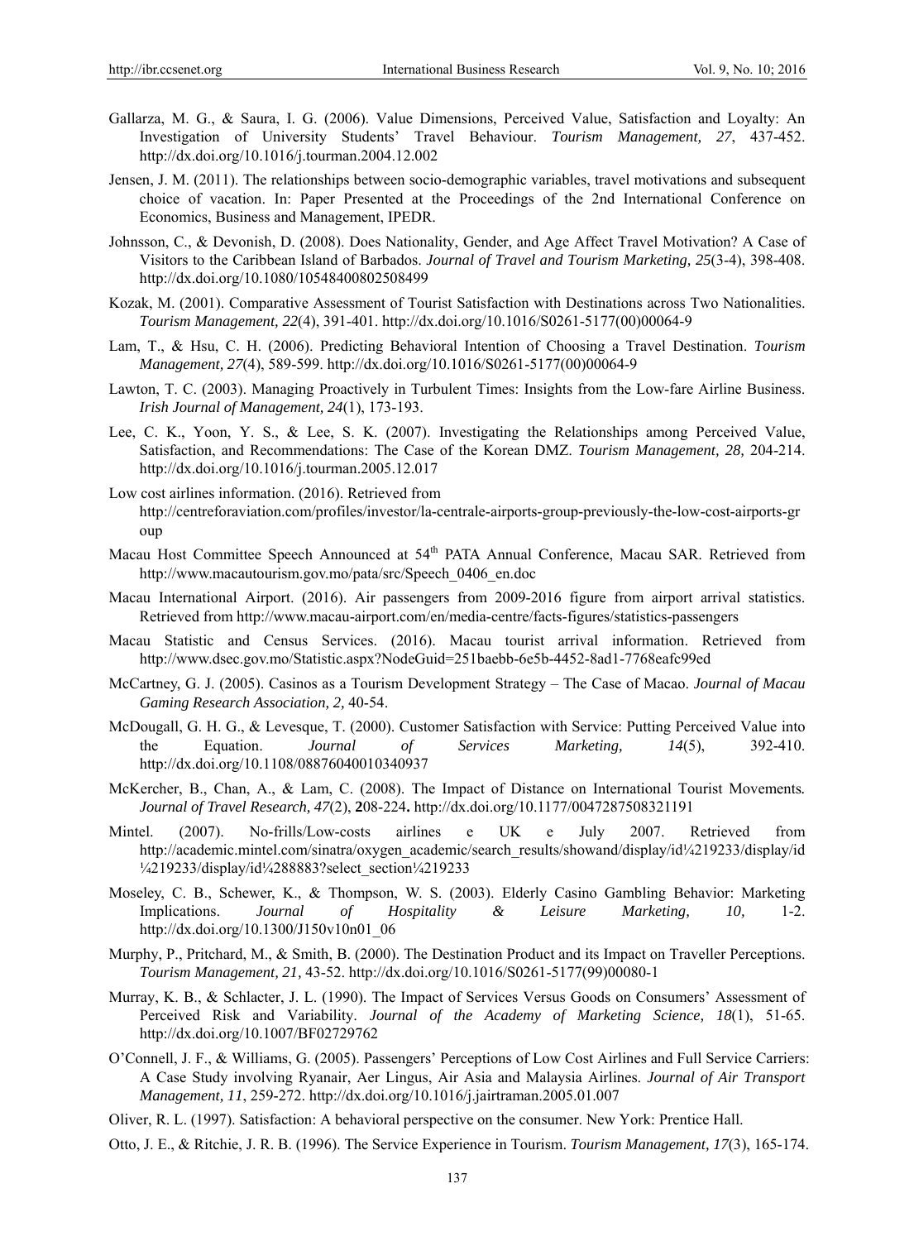- Gallarza, M. G., & Saura, I. G. (2006). Value Dimensions, Perceived Value, Satisfaction and Loyalty: An Investigation of University Students' Travel Behaviour. *Tourism Management, 27*, 437-452. http://dx.doi.org/10.1016/j.tourman.2004.12.002
- Jensen, J. M. (2011). The relationships between socio-demographic variables, travel motivations and subsequent choice of vacation. In: Paper Presented at the Proceedings of the 2nd International Conference on Economics, Business and Management, IPEDR.
- Johnsson, C., & Devonish, D. (2008). Does Nationality, Gender, and Age Affect Travel Motivation? A Case of Visitors to the Caribbean Island of Barbados. *Journal of Travel and Tourism Marketing, 25*(3-4), 398-408. http://dx.doi.org/10.1080/10548400802508499
- Kozak, M. (2001). Comparative Assessment of Tourist Satisfaction with Destinations across Two Nationalities. *Tourism Management, 22*(4), 391-401. http://dx.doi.org/10.1016/S0261-5177(00)00064-9
- Lam, T., & Hsu, C. H. (2006). Predicting Behavioral Intention of Choosing a Travel Destination. *Tourism Management, 27*(4), 589-599. http://dx.doi.org/10.1016/S0261-5177(00)00064-9
- Lawton, T. C. (2003). Managing Proactively in Turbulent Times: Insights from the Low-fare Airline Business. *Irish Journal of Management, 24*(1), 173-193.
- Lee, C. K., Yoon, Y. S., & Lee, S. K. (2007). Investigating the Relationships among Perceived Value, Satisfaction, and Recommendations: The Case of the Korean DMZ. *Tourism Management, 28,* 204-214. http://dx.doi.org/10.1016/j.tourman.2005.12.017
- Low cost airlines information. (2016). Retrieved from http://centreforaviation.com/profiles/investor/la-centrale-airports-group-previously-the-low-cost-airports-gr oup
- Macau Host Committee Speech Announced at 54<sup>th</sup> PATA Annual Conference, Macau SAR. Retrieved from http://www.macautourism.gov.mo/pata/src/Speech\_0406\_en.doc
- Macau International Airport. (2016). Air passengers from 2009-2016 figure from airport arrival statistics. Retrieved from http://www.macau-airport.com/en/media-centre/facts-figures/statistics-passengers
- Macau Statistic and Census Services. (2016). Macau tourist arrival information. Retrieved from http://www.dsec.gov.mo/Statistic.aspx?NodeGuid=251baebb-6e5b-4452-8ad1-7768eafc99ed
- McCartney, G. J. (2005). Casinos as a Tourism Development Strategy The Case of Macao. *Journal of Macau Gaming Research Association, 2,* 40-54.
- McDougall, G. H. G., & Levesque, T. (2000). Customer Satisfaction with Service: Putting Perceived Value into the Equation. *Journal of Services Marketing, 14*(5), 392-410. http://dx.doi.org/10.1108/08876040010340937
- McKercher, B., Chan, A., & Lam, C. (2008). The Impact of Distance on International Tourist Movements*. Journal of Travel Research, 47*(2), **2**08-224**.** http://dx.doi.org/10.1177/0047287508321191
- Mintel. (2007). No-frills/Low-costs airlines e UK e July 2007. Retrieved from http://academic.mintel.com/sinatra/oxygen\_academic/search\_results/showand/display/id¼219233/display/id ¼219233/display/id¼288883?select\_section¼219233
- Moseley, C. B., Schewer, K., & Thompson, W. S. (2003). Elderly Casino Gambling Behavior: Marketing Implications. *Journal of Hospitality & Leisure Marketing, 10,* 1-2. http://dx.doi.org/10.1300/J150v10n01\_06
- Murphy, P., Pritchard, M., & Smith, B. (2000). The Destination Product and its Impact on Traveller Perceptions. *Tourism Management, 21,* 43-52. http://dx.doi.org/10.1016/S0261-5177(99)00080-1
- Murray, K. B., & Schlacter, J. L. (1990). The Impact of Services Versus Goods on Consumers' Assessment of Perceived Risk and Variability. *Journal of the Academy of Marketing Science, 18*(1), 51-65. http://dx.doi.org/10.1007/BF02729762
- O'Connell, J. F., & Williams, G. (2005). Passengers' Perceptions of Low Cost Airlines and Full Service Carriers: A Case Study involving Ryanair, Aer Lingus, Air Asia and Malaysia Airlines. *Journal of Air Transport Management, 11*, 259-272. http://dx.doi.org/10.1016/j.jairtraman.2005.01.007
- Oliver, R. L. (1997). Satisfaction: A behavioral perspective on the consumer. New York: Prentice Hall.
- Otto, J. E., & Ritchie, J. R. B. (1996). The Service Experience in Tourism. *Tourism Management, 17*(3), 165-174.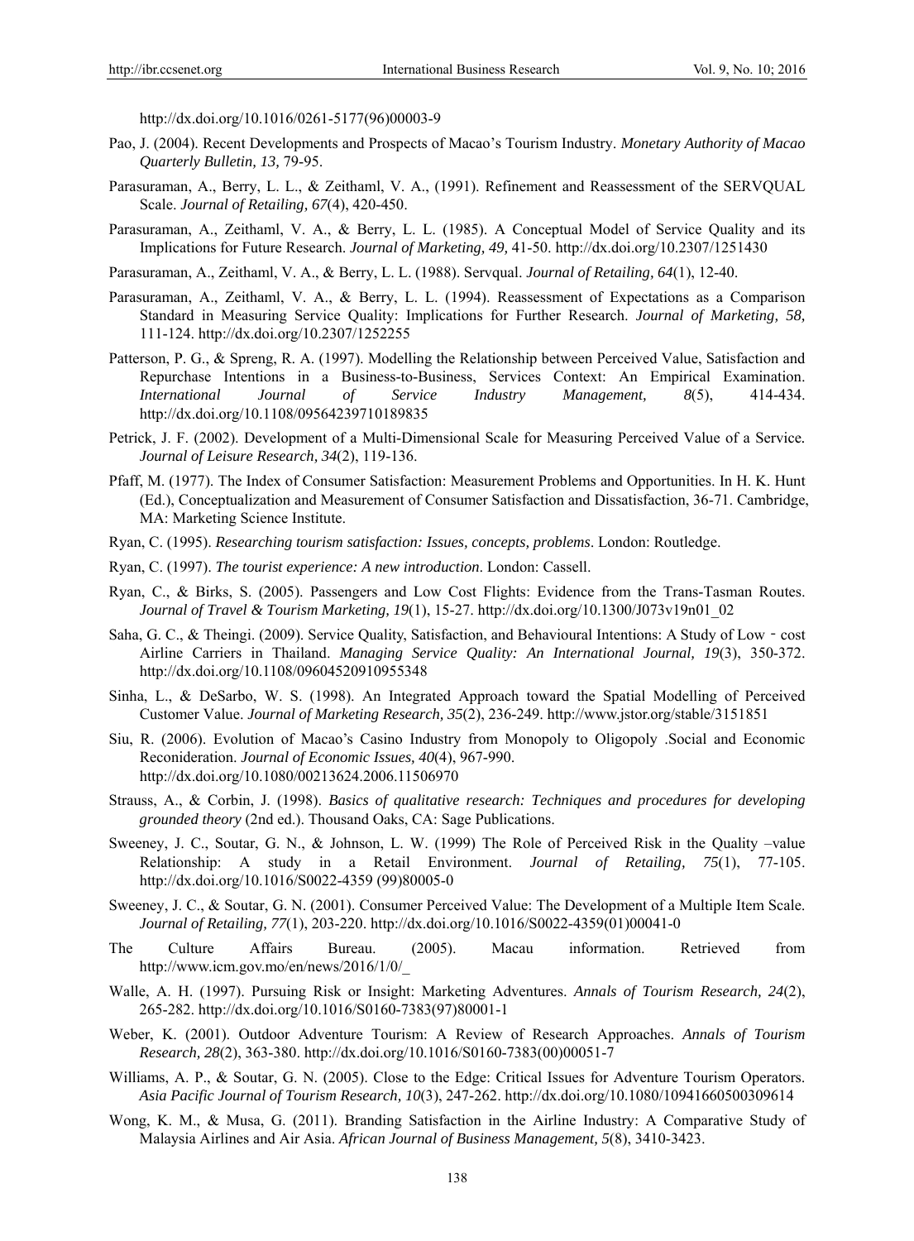http://dx.doi.org/10.1016/0261-5177(96)00003-9

- Pao, J. (2004). Recent Developments and Prospects of Macao's Tourism Industry. *Monetary Authority of Macao Quarterly Bulletin, 13,* 79-95.
- Parasuraman, A., Berry, L. L., & Zeithaml, V. A., (1991). Refinement and Reassessment of the SERVQUAL Scale. *Journal of Retailing, 67*(4), 420-450.
- Parasuraman, A., Zeithaml, V. A., & Berry, L. L. (1985). A Conceptual Model of Service Quality and its Implications for Future Research. *Journal of Marketing, 49,* 41-50. http://dx.doi.org/10.2307/1251430
- Parasuraman, A., Zeithaml, V. A., & Berry, L. L. (1988). Servqual. *Journal of Retailing, 64*(1), 12-40.
- Parasuraman, A., Zeithaml, V. A., & Berry, L. L. (1994). Reassessment of Expectations as a Comparison Standard in Measuring Service Quality: Implications for Further Research. *Journal of Marketing, 58,* 111-124. http://dx.doi.org/10.2307/1252255
- Patterson, P. G., & Spreng, R. A. (1997). Modelling the Relationship between Perceived Value, Satisfaction and Repurchase Intentions in a Business-to-Business, Services Context: An Empirical Examination. *International Journal of Service Industry Management, 8*(5), 414-434. http://dx.doi.org/10.1108/09564239710189835
- Petrick, J. F. (2002). Development of a Multi-Dimensional Scale for Measuring Perceived Value of a Service*. Journal of Leisure Research, 34*(2), 119-136.
- Pfaff, M. (1977). The Index of Consumer Satisfaction: Measurement Problems and Opportunities. In H. K. Hunt (Ed.), Conceptualization and Measurement of Consumer Satisfaction and Dissatisfaction, 36-71. Cambridge, MA: Marketing Science Institute.
- Ryan, C. (1995). *Researching tourism satisfaction: Issues, concepts, problems*. London: Routledge.
- Ryan, C. (1997). *The tourist experience: A new introduction*. London: Cassell.
- Ryan, C., & Birks, S. (2005). Passengers and Low Cost Flights: Evidence from the Trans-Tasman Routes. *Journal of Travel & Tourism Marketing, 19*(1), 15-27. http://dx.doi.org/10.1300/J073v19n01\_02
- Saha, G. C., & Theingi. (2009). Service Quality, Satisfaction, and Behavioural Intentions: A Study of Low‐cost Airline Carriers in Thailand. *Managing Service Quality: An International Journal, 19*(3), 350-372. http://dx.doi.org/10.1108/09604520910955348
- Sinha, L., & DeSarbo, W. S. (1998). An Integrated Approach toward the Spatial Modelling of Perceived Customer Value. *Journal of Marketing Research, 35*(2), 236-249. http://www.jstor.org/stable/3151851
- Siu, R. (2006). Evolution of Macao's Casino Industry from Monopoly to Oligopoly .Social and Economic Reconideration. *Journal of Economic Issues, 40*(4), 967-990. http://dx.doi.org/10.1080/00213624.2006.11506970
- Strauss, A., & Corbin, J. (1998). *Basics of qualitative research: Techniques and procedures for developing grounded theory* (2nd ed.). Thousand Oaks, CA: Sage Publications.
- Sweeney, J. C., Soutar, G. N., & Johnson, L. W. (1999) The Role of Perceived Risk in the Quality –value Relationship: A study in a Retail Environment. *Journal of Retailing, 75*(1), 77-105. http://dx.doi.org/10.1016/S0022-4359 (99)80005-0
- Sweeney, J. C., & Soutar, G. N. (2001). Consumer Perceived Value: The Development of a Multiple Item Scale. *Journal of Retailing, 77*(1), 203-220. http://dx.doi.org/10.1016/S0022-4359(01)00041-0
- The Culture Affairs Bureau. (2005). Macau information. Retrieved from http://www.icm.gov.mo/en/news/2016/1/0/\_
- Walle, A. H. (1997). Pursuing Risk or Insight: Marketing Adventures. *Annals of Tourism Research, 24*(2), 265-282. http://dx.doi.org/10.1016/S0160-7383(97)80001-1
- Weber, K. (2001). Outdoor Adventure Tourism: A Review of Research Approaches. *Annals of Tourism Research, 28*(2), 363-380. http://dx.doi.org/10.1016/S0160-7383(00)00051-7
- Williams, A. P., & Soutar, G. N. (2005). Close to the Edge: Critical Issues for Adventure Tourism Operators. *Asia Pacific Journal of Tourism Research, 10*(3), 247-262. http://dx.doi.org/10.1080/10941660500309614
- Wong, K. M., & Musa, G. (2011). Branding Satisfaction in the Airline Industry: A Comparative Study of Malaysia Airlines and Air Asia. *African Journal of Business Management, 5*(8), 3410-3423.